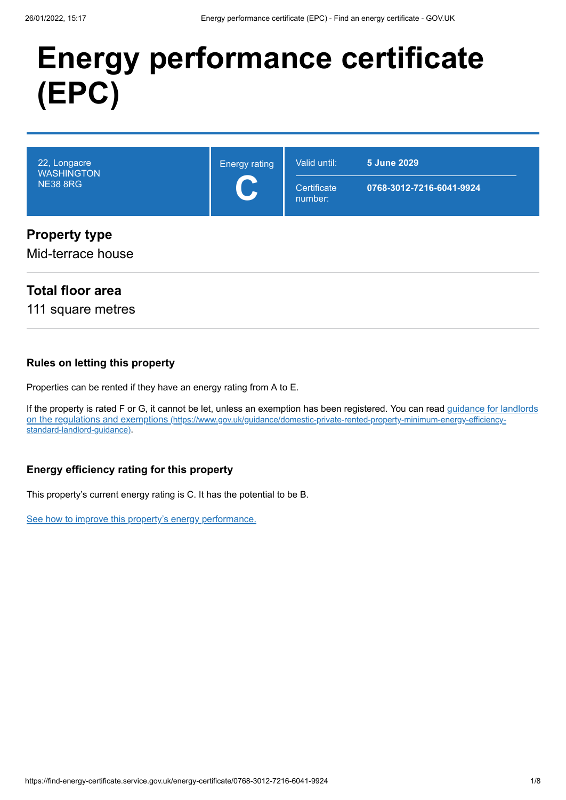# **Energy performance certificate (EPC)**

| 22, Longacre<br><b>WASHINGTON</b><br><b>NE38 8RG</b> | <b>Energy rating</b> | Valid until:<br>Certificate<br>number: | <b>5 June 2029</b><br>0768-3012-7216-6041-9924 |
|------------------------------------------------------|----------------------|----------------------------------------|------------------------------------------------|
| <b>Property type</b><br>Mid-terrace house            |                      |                                        |                                                |

## **Total floor area**

111 square metres

#### **Rules on letting this property**

Properties can be rented if they have an energy rating from A to E.

[If the property is rated F or G, it cannot be let, unless an exemption has been registered. You can read guidance for landlords](https://www.gov.uk/guidance/domestic-private-rented-property-minimum-energy-efficiency-standard-landlord-guidance) on the regulations and exemptions (https://www.gov.uk/guidance/domestic-private-rented-property-minimum-energy-efficiencystandard-landlord-guidance).

#### **Energy efficiency rating for this property**

This property's current energy rating is C. It has the potential to be B.

[See how to improve this property's energy performance.](#page-3-0)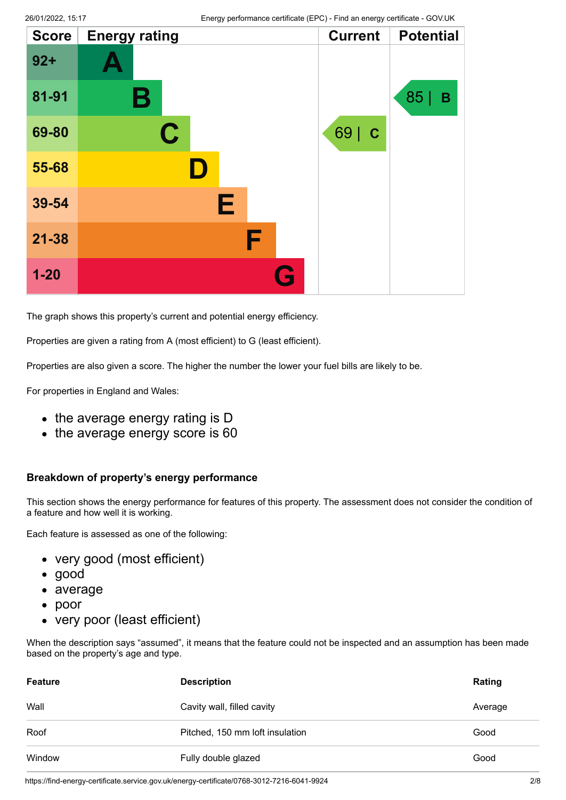| <b>Score</b> | <b>Energy rating</b> |   | <b>Current</b> | <b>Potential</b>   |
|--------------|----------------------|---|----------------|--------------------|
| $92 +$       |                      |   |                |                    |
| 81-91        | Β                    |   |                | 85 <br>$\mathbf B$ |
| 69-80        | $\mathbf C$          |   | 69   C         |                    |
| 55-68        | D                    |   |                |                    |
| 39-54        | Е                    |   |                |                    |
| $21 - 38$    |                      | F |                |                    |
| $1-20$       |                      | G |                |                    |

The graph shows this property's current and potential energy efficiency.

Properties are given a rating from A (most efficient) to G (least efficient).

Properties are also given a score. The higher the number the lower your fuel bills are likely to be.

For properties in England and Wales:

- the average energy rating is D
- the average energy score is 60

#### **Breakdown of property's energy performance**

This section shows the energy performance for features of this property. The assessment does not consider the condition of a feature and how well it is working.

Each feature is assessed as one of the following:

- very good (most efficient)
- good
- average
- poor
- very poor (least efficient)

When the description says "assumed", it means that the feature could not be inspected and an assumption has been made based on the property's age and type.

| <b>Feature</b> | <b>Description</b>              | Rating  |
|----------------|---------------------------------|---------|
| Wall           | Cavity wall, filled cavity      | Average |
| Roof           | Pitched, 150 mm loft insulation | Good    |
| Window         | Fully double glazed             | Good    |

https://find-energy-certificate.service.gov.uk/energy-certificate/0768-3012-7216-6041-9924 2/8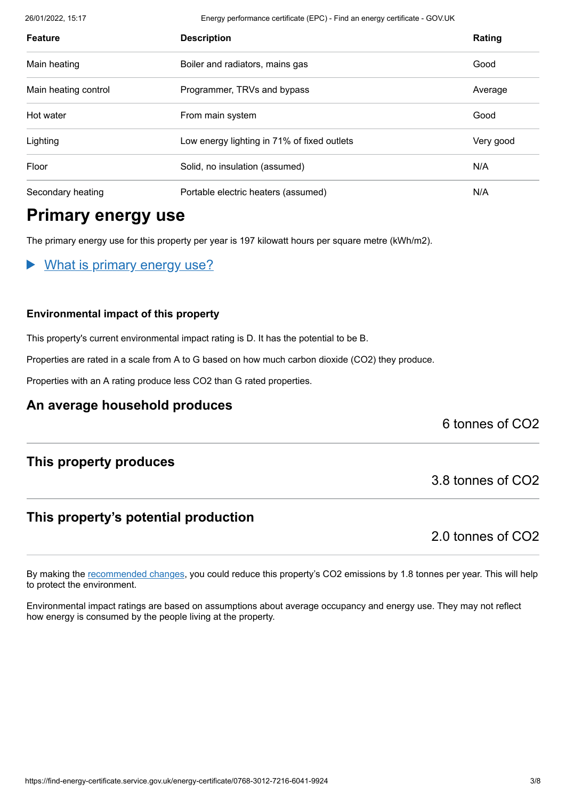26/01/2022, 15:17 Energy performance certificate (EPC) - Find an energy certificate - GOV.UK

| <b>Feature</b>       | <b>Description</b>                          | Rating    |
|----------------------|---------------------------------------------|-----------|
| Main heating         | Boiler and radiators, mains gas             | Good      |
| Main heating control | Programmer, TRVs and bypass                 | Average   |
| Hot water            | From main system                            | Good      |
| Lighting             | Low energy lighting in 71% of fixed outlets | Very good |
| Floor                | Solid, no insulation (assumed)              | N/A       |
| Secondary heating    | Portable electric heaters (assumed)         | N/A       |

# **Primary energy use**

The primary energy use for this property per year is 197 kilowatt hours per square metre (kWh/m2).

What is primary energy use?

#### **Environmental impact of this property**

This property's current environmental impact rating is D. It has the potential to be B.

Properties are rated in a scale from A to G based on how much carbon dioxide (CO2) they produce.

Properties with an A rating produce less CO2 than G rated properties.

#### **An average household produces**

6 tonnes of CO2

#### **This property produces**

#### **This property's potential production**

2.0 tonnes of CO2

3.8 tonnes of CO2

By making the [recommended changes](#page-3-0), you could reduce this property's CO2 emissions by 1.8 tonnes per year. This will help to protect the environment.

Environmental impact ratings are based on assumptions about average occupancy and energy use. They may not reflect how energy is consumed by the people living at the property.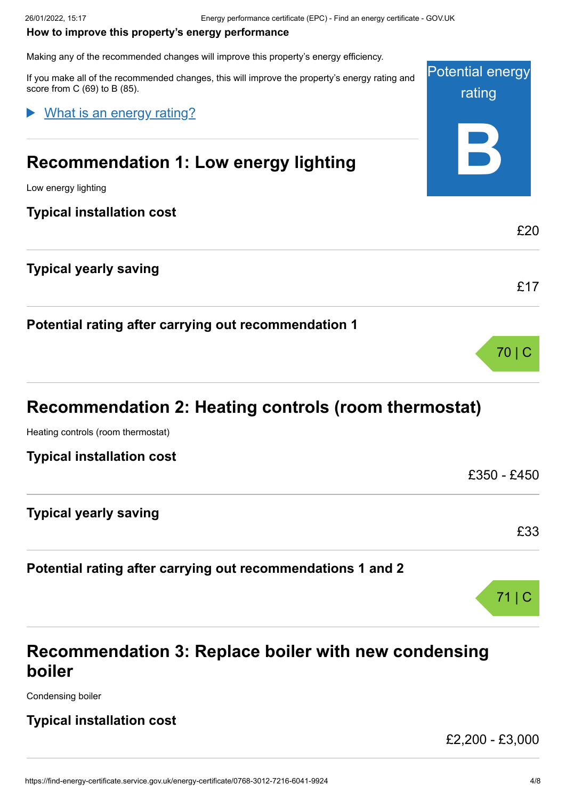#### <span id="page-3-0"></span>**How to improve this property's energy performance**

Making any of the recommended changes will improve this property's energy efficiency.

Potential energy rating **B** If you make all of the recommended changes, this will improve the property's energy rating and score from C (69) to B (85). **Recommendation 1: Low energy lighting** Low energy lighting **Typical installation cost** £20 **Typical yearly saving** £17 **Potential rating after carrying out recommendation 1** 70 | C What is an energy rating?

# **Recommendation 2: Heating controls (room thermostat)**

Heating controls (room thermostat)

**Typical installation cost**

| TYPICAI IIIƏtAIIAUVII COST                                  | £350 - £450 |
|-------------------------------------------------------------|-------------|
| <b>Typical yearly saving</b>                                |             |
|                                                             | £33         |
| Potential rating after carrying out recommendations 1 and 2 |             |

# **Recommendation 3: Replace boiler with new condensing boiler**

Condensing boiler

### **Typical installation cost**

£2,200 - £3,000

71 | C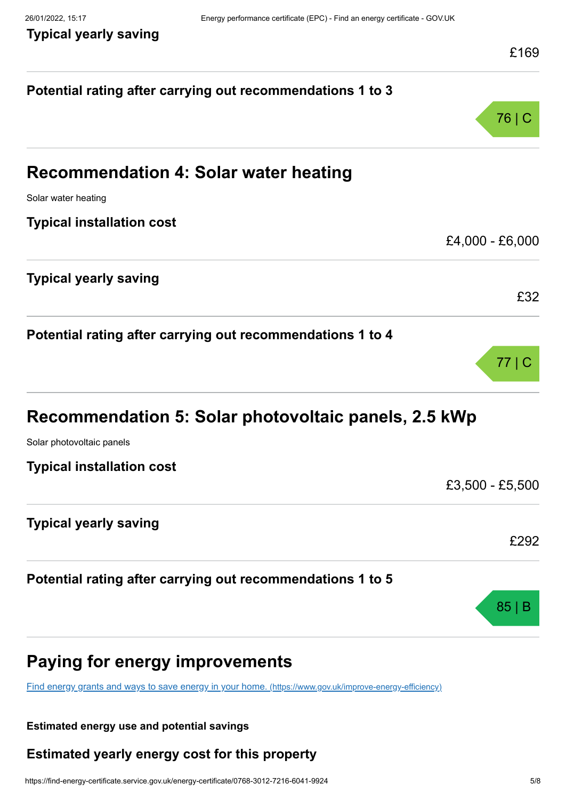**Typical yearly saving**

| Potential rating after carrying out recommendations 1 to 3<br>76   C<br><b>Recommendation 4: Solar water heating</b><br>Solar water heating<br><b>Typical installation cost</b><br><b>Typical yearly saving</b><br>Potential rating after carrying out recommendations 1 to 4<br>77   C<br>Recommendation 5: Solar photovoltaic panels, 2.5 kWp<br>Solar photovoltaic panels<br><b>Typical installation cost</b><br>£3,500 - £5,500<br><b>Typical yearly saving</b><br>£292<br>Potential rating after carrying out recommendations 1 to 5<br>85<br><b>Paying for energy improvements</b><br>Find energy grants and ways to save energy in your home. (https://www.gov.uk/improve-energy-efficiency) | <b>FIQA</b>     |
|-----------------------------------------------------------------------------------------------------------------------------------------------------------------------------------------------------------------------------------------------------------------------------------------------------------------------------------------------------------------------------------------------------------------------------------------------------------------------------------------------------------------------------------------------------------------------------------------------------------------------------------------------------------------------------------------------------|-----------------|
|                                                                                                                                                                                                                                                                                                                                                                                                                                                                                                                                                                                                                                                                                                     |                 |
|                                                                                                                                                                                                                                                                                                                                                                                                                                                                                                                                                                                                                                                                                                     |                 |
|                                                                                                                                                                                                                                                                                                                                                                                                                                                                                                                                                                                                                                                                                                     |                 |
|                                                                                                                                                                                                                                                                                                                                                                                                                                                                                                                                                                                                                                                                                                     |                 |
|                                                                                                                                                                                                                                                                                                                                                                                                                                                                                                                                                                                                                                                                                                     |                 |
|                                                                                                                                                                                                                                                                                                                                                                                                                                                                                                                                                                                                                                                                                                     |                 |
|                                                                                                                                                                                                                                                                                                                                                                                                                                                                                                                                                                                                                                                                                                     | £4,000 - £6,000 |
|                                                                                                                                                                                                                                                                                                                                                                                                                                                                                                                                                                                                                                                                                                     |                 |
|                                                                                                                                                                                                                                                                                                                                                                                                                                                                                                                                                                                                                                                                                                     | £32             |
|                                                                                                                                                                                                                                                                                                                                                                                                                                                                                                                                                                                                                                                                                                     |                 |
|                                                                                                                                                                                                                                                                                                                                                                                                                                                                                                                                                                                                                                                                                                     |                 |
|                                                                                                                                                                                                                                                                                                                                                                                                                                                                                                                                                                                                                                                                                                     |                 |
|                                                                                                                                                                                                                                                                                                                                                                                                                                                                                                                                                                                                                                                                                                     |                 |
|                                                                                                                                                                                                                                                                                                                                                                                                                                                                                                                                                                                                                                                                                                     |                 |
|                                                                                                                                                                                                                                                                                                                                                                                                                                                                                                                                                                                                                                                                                                     |                 |
|                                                                                                                                                                                                                                                                                                                                                                                                                                                                                                                                                                                                                                                                                                     |                 |
|                                                                                                                                                                                                                                                                                                                                                                                                                                                                                                                                                                                                                                                                                                     |                 |
|                                                                                                                                                                                                                                                                                                                                                                                                                                                                                                                                                                                                                                                                                                     |                 |
|                                                                                                                                                                                                                                                                                                                                                                                                                                                                                                                                                                                                                                                                                                     |                 |
|                                                                                                                                                                                                                                                                                                                                                                                                                                                                                                                                                                                                                                                                                                     |                 |
|                                                                                                                                                                                                                                                                                                                                                                                                                                                                                                                                                                                                                                                                                                     |                 |
|                                                                                                                                                                                                                                                                                                                                                                                                                                                                                                                                                                                                                                                                                                     |                 |
|                                                                                                                                                                                                                                                                                                                                                                                                                                                                                                                                                                                                                                                                                                     |                 |

#### **Estimated energy use and potential savings**

## **Estimated yearly energy cost for this property**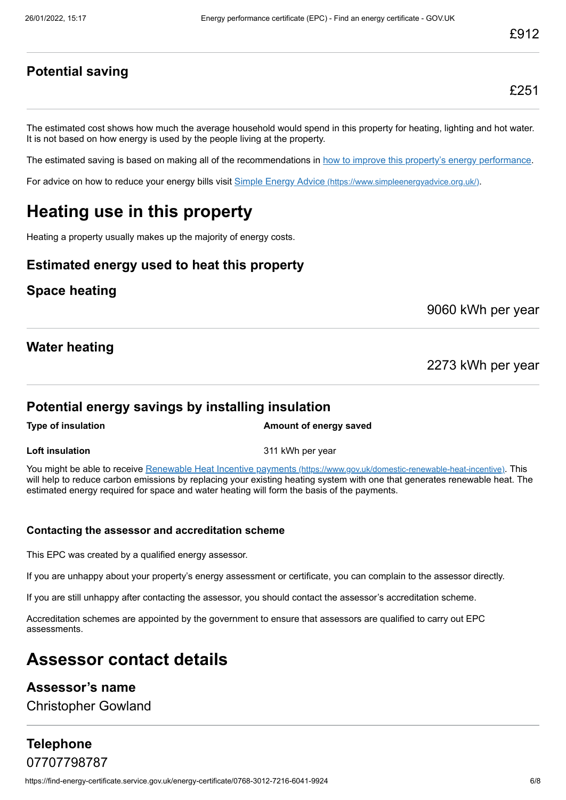#### **Potential saving**

The estimated cost shows how much the average household would spend in this property for heating, lighting and hot water. It is not based on how energy is used by the people living at the property.

The estimated saving is based on making all of the recommendations in [how to improve this property's energy performance.](#page-3-0)

For advice on how to reduce your energy bills visit Simple Energy Advice [\(https://www.simpleenergyadvice.org.uk/\)](https://www.simpleenergyadvice.org.uk/).

# **Heating use in this property**

Heating a property usually makes up the majority of energy costs.

#### **Estimated energy used to heat this property**

#### **Space heating**

9060 kWh per year

#### **Water heating**

2273 kWh per year

#### **Potential energy savings by installing insulation**

**Type of insulation Amount of energy saved** 

**Loft insulation** 311 kWh per year

You might be able to receive Renewable Heat Incentive payments [\(https://www.gov.uk/domestic-renewable-heat-incentive\)](https://www.gov.uk/domestic-renewable-heat-incentive). This will help to reduce carbon emissions by replacing your existing heating system with one that generates renewable heat. The estimated energy required for space and water heating will form the basis of the payments.

#### **Contacting the assessor and accreditation scheme**

This EPC was created by a qualified energy assessor.

If you are unhappy about your property's energy assessment or certificate, you can complain to the assessor directly.

If you are still unhappy after contacting the assessor, you should contact the assessor's accreditation scheme.

Accreditation schemes are appointed by the government to ensure that assessors are qualified to carry out EPC assessments.

# **Assessor contact details**

#### **Assessor's name**

Christopher Gowland

#### **Telephone** 07707798787